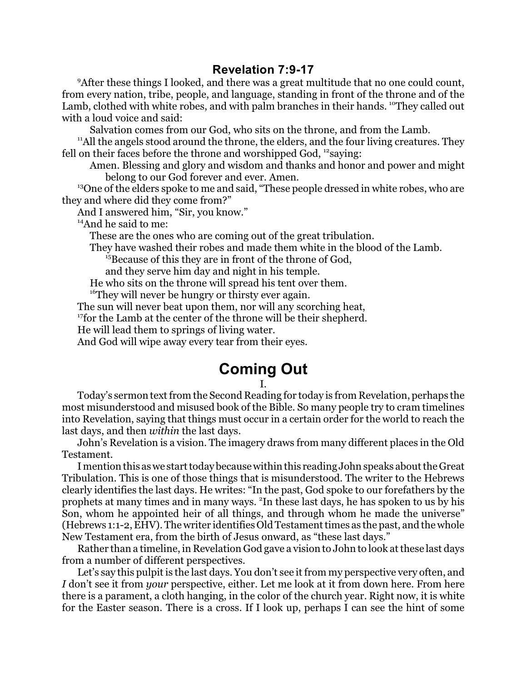## **Revelation 7:9-17**

<sup>9</sup> After these things I looked, and there was a great multitude that no one could count, from every nation, tribe, people, and language, standing in front of the throne and of the Lamb, clothed with white robes, and with palm branches in their hands. <sup>10</sup>They called out with a loud voice and said:

Salvation comes from our God, who sits on the throne, and from the Lamb.

<sup>11</sup>All the angels stood around the throne, the elders, and the four living creatures. They fell on their faces before the throne and worshipped God, <sup>12</sup>saying:

Amen. Blessing and glory and wisdom and thanks and honor and power and might belong to our God forever and ever. Amen.

<sup>13</sup>One of the elders spoke to me and said, "These people dressed in white robes, who are they and where did they come from?"

And I answered him, "Sir, you know."

<sup>14</sup>And he said to me:

These are the ones who are coming out of the great tribulation.

They have washed their robes and made them white in the blood of the Lamb.

<sup>15</sup>Because of this they are in front of the throne of God,

and they serve him day and night in his temple.

He who sits on the throne will spread his tent over them.

<sup>16</sup>They will never be hungry or thirsty ever again.

The sun will never beat upon them, nor will any scorching heat,

<sup>17</sup> for the Lamb at the center of the throne will be their shepherd.

He will lead them to springs of living water.

And God will wipe away every tear from their eyes.

## **Coming Out**

## I.

Today's sermon text from the Second Reading for today is from Revelation, perhaps the most misunderstood and misused book of the Bible. So many people try to cram timelines into Revelation, saying that things must occur in a certain order for the world to reach the last days, and then *within* the last days.

John's Revelation is a vision. The imagery draws from many different places in the Old Testament.

I mention this as we start today because within this reading John speaks about the Great Tribulation. This is one of those things that is misunderstood. The writer to the Hebrews clearly identifies the last days. He writes: "In the past, God spoke to our forefathers by the prophets at many times and in many ways. <sup>2</sup>In these last days, he has spoken to us by his Son, whom he appointed heir of all things, and through whom he made the universe" (Hebrews 1:1-2, EHV). The writer identifies Old Testament times as the past, and the whole New Testament era, from the birth of Jesus onward, as "these last days."

Rather than a timeline, in Revelation God gave a vision to John to look at these last days from a number of different perspectives.

Let's say this pulpit is the last days. You don't see it from my perspective very often, and *I* don't see it from *your* perspective, either. Let me look at it from down here. From here there is a parament, a cloth hanging, in the color of the church year. Right now, it is white for the Easter season. There is a cross. If I look up, perhaps I can see the hint of some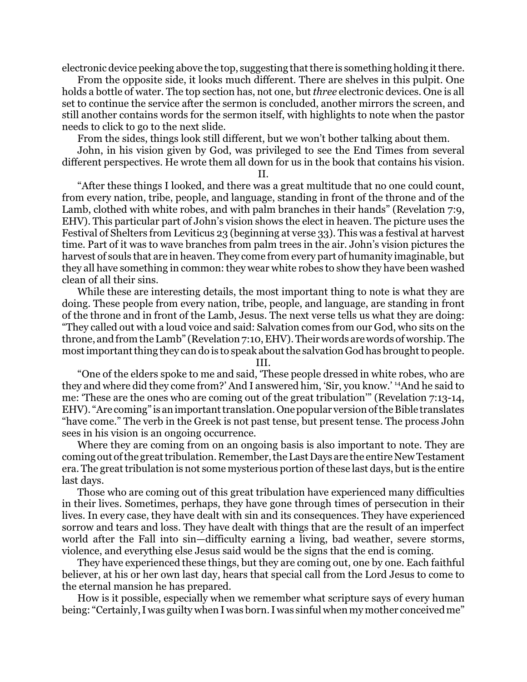electronic device peeking above the top, suggesting thatthere is something holding itthere.

From the opposite side, it looks much different. There are shelves in this pulpit. One holds a bottle of water. The top section has, not one, but *three* electronic devices. One is all set to continue the service after the sermon is concluded, another mirrors the screen, and still another contains words for the sermon itself, with highlights to note when the pastor needs to click to go to the next slide.

From the sides, things look still different, but we won't bother talking about them.

John, in his vision given by God, was privileged to see the End Times from several different perspectives. He wrote them all down for us in the book that contains his vision.

II.

"After these things I looked, and there was a great multitude that no one could count, from every nation, tribe, people, and language, standing in front of the throne and of the Lamb, clothed with white robes, and with palm branches in their hands" (Revelation 7:9, EHV). This particular part of John's vision shows the elect in heaven. The picture uses the Festival of Shelters from Leviticus 23 (beginning at verse 33). This was a festival at harvest time. Part of it was to wave branches from palm trees in the air. John's vision pictures the harvest of souls that are in heaven. They come from every part of humanity imaginable, but they all have something in common: they wear white robes to show they have been washed clean of all their sins.

While these are interesting details, the most important thing to note is what they are doing. These people from every nation, tribe, people, and language, are standing in front of the throne and in front of the Lamb, Jesus. The next verse tells us what they are doing: "They called out with a loud voice and said: Salvation comes from our God, who sits on the throne, and from the Lamb" (Revelation 7:10, EHV).Their words are words of worship. The most important thing they can do is to speak about the salvation God has brought to people.

III.

"One of the elders spoke to me and said, 'These people dressed in white robes, who are they and where did they come from?' And I answered him, 'Sir, you know.' <sup>14</sup>And he said to me: 'These are the ones who are coming out of the great tribulation'" (Revelation 7:13-14, EHV). "Are coming" is an importanttranslation. Onepopular version ofthe Bible translates "have come." The verb in the Greek is not past tense, but present tense. The process John sees in his vision is an ongoing occurrence.

Where they are coming from on an ongoing basis is also important to note. They are coming out of the great tribulation. Remember, the Last Days are the entire New Testament era. The great tribulation is not some mysterious portion of these last days, but is the entire last days.

Those who are coming out of this great tribulation have experienced many difficulties in their lives. Sometimes, perhaps, they have gone through times of persecution in their lives. In every case, they have dealt with sin and its consequences. They have experienced sorrow and tears and loss. They have dealt with things that are the result of an imperfect world after the Fall into sin—difficulty earning a living, bad weather, severe storms, violence, and everything else Jesus said would be the signs that the end is coming.

They have experienced these things, but they are coming out, one by one. Each faithful believer, at his or her own last day, hears that special call from the Lord Jesus to come to the eternal mansion he has prepared.

How is it possible, especially when we remember what scripture says of every human being: "Certainly, I was guilty when I was born. I was sinful when my mother conceived me"